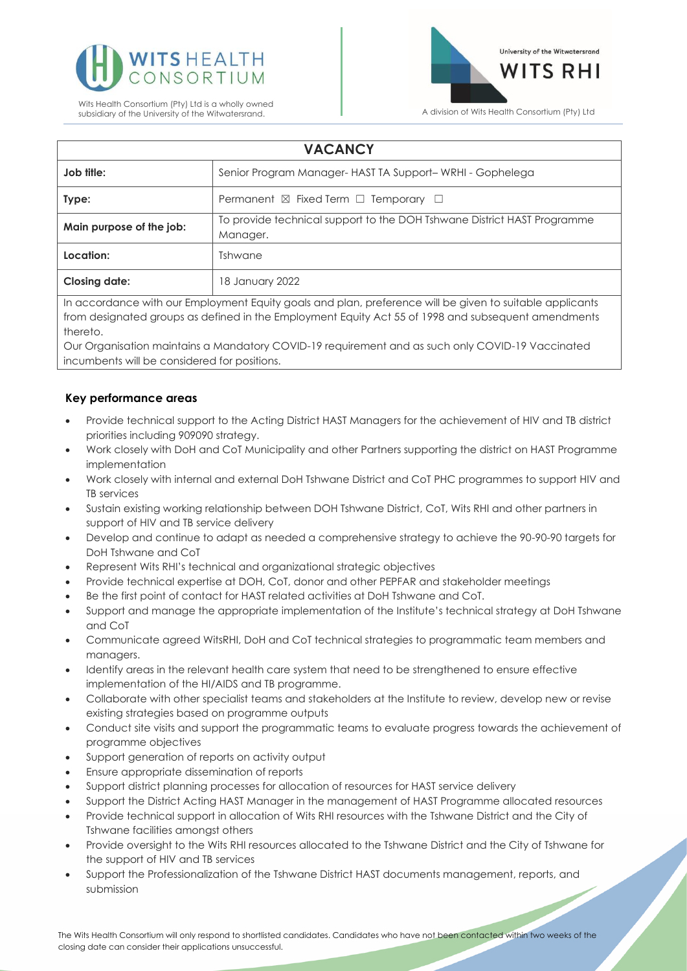



# **VACANCY**

| Job title:               | Senior Program Manager-HAST TA Support-WRHI - Gophelega                             |
|--------------------------|-------------------------------------------------------------------------------------|
| Type:                    | Permanent $\boxtimes$ Fixed Term $\Box$ Temporary $\Box$                            |
| Main purpose of the job: | To provide technical support to the DOH Tshwane District HAST Programme<br>Manager. |
| Location:                | Tshwane                                                                             |
| <b>Closing date:</b>     | 18 January 2022                                                                     |

In accordance with our Employment Equity goals and plan, preference will be given to suitable applicants from designated groups as defined in the Employment Equity Act 55 of 1998 and subsequent amendments thereto.

Our Organisation maintains a Mandatory COVID-19 requirement and as such only COVID-19 Vaccinated incumbents will be considered for positions.

### **Key performance areas**

- Provide technical support to the Acting District HAST Managers for the achievement of HIV and TB district priorities including 909090 strategy.
- Work closely with DoH and CoT Municipality and other Partners supporting the district on HAST Programme implementation
- Work closely with internal and external DoH Tshwane District and CoT PHC programmes to support HIV and TB services
- Sustain existing working relationship between DOH Tshwane District, CoT, Wits RHI and other partners in support of HIV and TB service delivery
- Develop and continue to adapt as needed a comprehensive strategy to achieve the 90-90-90 targets for DoH Tshwane and CoT
- Represent Wits RHI's technical and organizational strategic objectives
- Provide technical expertise at DOH, CoT, donor and other PEPFAR and stakeholder meetings
- Be the first point of contact for HAST related activities at DoH Tshwane and CoT.
- Support and manage the appropriate implementation of the Institute's technical strategy at DoH Tshwane and CoT
- Communicate agreed WitsRHI, DoH and CoT technical strategies to programmatic team members and managers.
- Identify areas in the relevant health care system that need to be strengthened to ensure effective implementation of the HI/AIDS and TB programme.
- Collaborate with other specialist teams and stakeholders at the Institute to review, develop new or revise existing strategies based on programme outputs
- Conduct site visits and support the programmatic teams to evaluate progress towards the achievement of programme objectives
- Support generation of reports on activity output
- Ensure appropriate dissemination of reports
- Support district planning processes for allocation of resources for HAST service delivery
- Support the District Acting HAST Manager in the management of HAST Programme allocated resources
- Provide technical support in allocation of Wits RHI resources with the Tshwane District and the City of Tshwane facilities amongst others
- Provide oversight to the Wits RHI resources allocated to the Tshwane District and the City of Tshwane for the support of HIV and TB services
- Support the Professionalization of the Tshwane District HAST documents management, reports, and submission